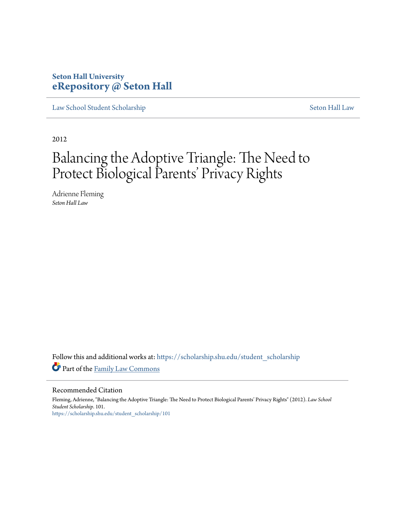# **Seton Hall University [eRepository @ Seton Hall](https://scholarship.shu.edu?utm_source=scholarship.shu.edu%2Fstudent_scholarship%2F101&utm_medium=PDF&utm_campaign=PDFCoverPages)**

[Law School Student Scholarship](https://scholarship.shu.edu/student_scholarship?utm_source=scholarship.shu.edu%2Fstudent_scholarship%2F101&utm_medium=PDF&utm_campaign=PDFCoverPages) [Seton Hall Law](https://scholarship.shu.edu/law?utm_source=scholarship.shu.edu%2Fstudent_scholarship%2F101&utm_medium=PDF&utm_campaign=PDFCoverPages)

2012

# Balancing the Adoptive Triangle: The Need to Protect Biological Parents' Privacy Rights

Adrienne Fleming *Seton Hall Law*

Follow this and additional works at: [https://scholarship.shu.edu/student\\_scholarship](https://scholarship.shu.edu/student_scholarship?utm_source=scholarship.shu.edu%2Fstudent_scholarship%2F101&utm_medium=PDF&utm_campaign=PDFCoverPages) Part of the [Family Law Commons](http://network.bepress.com/hgg/discipline/602?utm_source=scholarship.shu.edu%2Fstudent_scholarship%2F101&utm_medium=PDF&utm_campaign=PDFCoverPages)

Recommended Citation

Fleming, Adrienne, "Balancing the Adoptive Triangle: The Need to Protect Biological Parents' Privacy Rights" (2012). *Law School Student Scholarship*. 101. [https://scholarship.shu.edu/student\\_scholarship/101](https://scholarship.shu.edu/student_scholarship/101?utm_source=scholarship.shu.edu%2Fstudent_scholarship%2F101&utm_medium=PDF&utm_campaign=PDFCoverPages)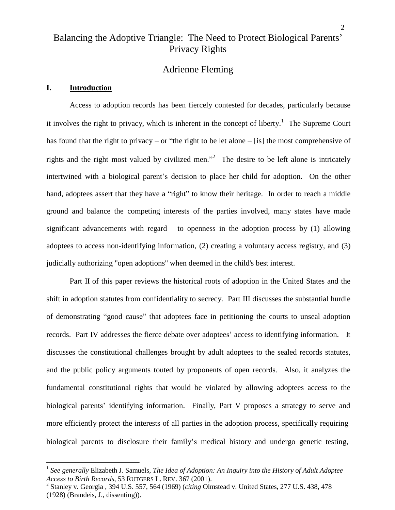# Balancing the Adoptive Triangle: The Need to Protect Biological Parents' Privacy Rights

# Adrienne Fleming

#### **I. Introduction**

Access to adoption records has been fiercely contested for decades, particularly because it involves the right to privacy, which is inherent in the concept of liberty.<sup>1</sup> The Supreme Court has found that the right to privacy – or "the right to be let alone – [is] the most comprehensive of rights and the right most valued by civilized men.<sup>22</sup> The desire to be left alone is intricately intertwined with a biological parent's decision to place her child for adoption. On the other hand, adoptees assert that they have a "right" to know their heritage. In order to reach a middle ground and balance the competing interests of the parties involved, many states have made significant advancements with regard to openness in the adoption process by (1) allowing adoptees to access non-identifying information, (2) creating a voluntary access registry, and (3) judicially authorizing "open adoptions" when deemed in the child's best interest.

Part II of this paper reviews the historical roots of adoption in the United States and the shift in adoption statutes from confidentiality to secrecy. Part III discusses the substantial hurdle of demonstrating "good cause" that adoptees face in petitioning the courts to unseal adoption records. Part IV addresses the fierce debate over adoptees' access to identifying information. It discusses the constitutional challenges brought by adult adoptees to the sealed records statutes, and the public policy arguments touted by proponents of open records. Also, it analyzes the fundamental constitutional rights that would be violated by allowing adoptees access to the biological parents' identifying information. Finally, Part V proposes a strategy to serve and more efficiently protect the interests of all parties in the adoption process, specifically requiring biological parents to disclosure their family's medical history and undergo genetic testing,

<sup>1</sup> *See generally* Elizabeth J. Samuels, *The Idea of Adoption: An Inquiry into the History of Adult Adoptee Access to Birth Records*, 53 RUTGERS L. REV. 367 (2001).

<sup>2</sup> Stanley v. Georgia , 394 U.S. 557, 564 (1969) (*citing* Olmstead v. United States, 277 U.S. 438, 478 (1928) (Brandeis, J., dissenting)).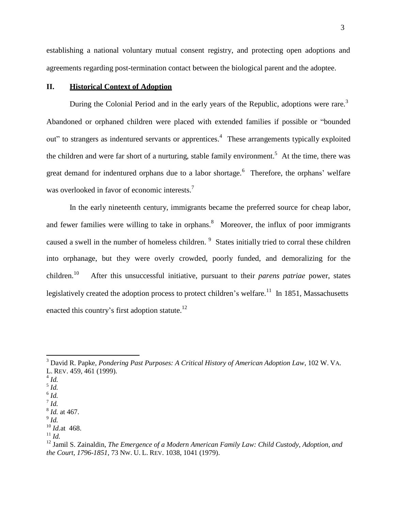establishing a national voluntary mutual consent registry, and protecting open adoptions and agreements regarding post-termination contact between the biological parent and the adoptee.

# **II. Historical Context of Adoption**

During the Colonial Period and in the early years of the Republic, adoptions were rare.<sup>3</sup> Abandoned or orphaned children were placed with extended families if possible or "bounded out" to strangers as indentured servants or apprentices.<sup>4</sup> These arrangements typically exploited the children and were far short of a nurturing, stable family environment.<sup>5</sup> At the time, there was great demand for indentured orphans due to a labor shortage.<sup>6</sup> Therefore, the orphans' welfare was overlooked in favor of economic interests.<sup>7</sup>

In the early nineteenth century, immigrants became the preferred source for cheap labor, and fewer families were willing to take in orphans.<sup>8</sup> Moreover, the influx of poor immigrants caused a swell in the number of homeless children. <sup>9</sup> States initially tried to corral these children into orphanage, but they were overly crowded, poorly funded, and demoralizing for the children. $10$ After this unsuccessful initiative, pursuant to their *parens patriae* power, states legislatively created the adoption process to protect children's welfare.<sup>11</sup> In 1851, Massachusetts enacted this country's first adoption statute.<sup>12</sup>

5 *Id.*

<sup>3</sup> David R. Papke, *Pondering Past Purposes: A Critical History of American Adoption Law*, 102 W. VA. L. REV. 459, 461 (1999).

<sup>4</sup> *Id.*

<sup>6</sup> *Id.*

<sup>7</sup> *Id.* 8 *Id.* at 467.

<sup>9</sup> *Id.*

<sup>10</sup> *Id.*at 468.

<sup>11</sup> *Id.*

<sup>12</sup> Jamil S. Zainaldin, *The Emergence of a Modern American Family Law: Child Custody, Adoption, and the Court, 1796-1851,* 73 NW. U. L. REV. 1038, 1041 (1979).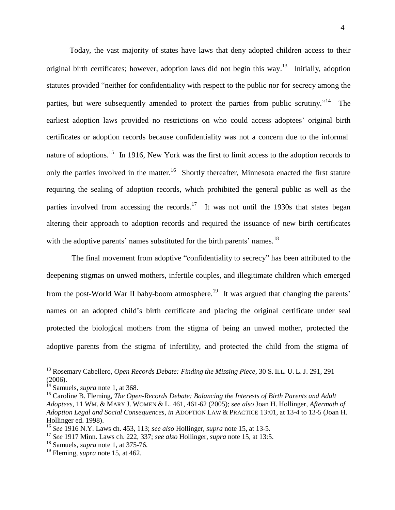Today, the vast majority of states have laws that deny adopted children access to their original birth certificates; however, adoption laws did not begin this way.<sup>13</sup> Initially, adoption statutes provided "neither for confidentiality with respect to the public nor for secrecy among the parties, but were subsequently amended to protect the parties from public scrutiny."<sup>14</sup> The earliest adoption laws provided no restrictions on who could access adoptees' original birth certificates or adoption records because confidentiality was not a concern due to the informal nature of adoptions.<sup>15</sup> In 1916, New York was the first to limit access to the adoption records to only the parties involved in the matter.<sup>16</sup> Shortly thereafter, Minnesota enacted the first statute requiring the sealing of adoption records, which prohibited the general public as well as the parties involved from accessing the records.<sup>17</sup> It was not until the 1930s that states began altering their approach to adoption records and required the issuance of new birth certificates with the adoptive parents' names substituted for the birth parents' names.<sup>18</sup>

The final movement from adoptive "confidentiality to secrecy" has been attributed to the deepening stigmas on unwed mothers, infertile couples, and illegitimate children which emerged from the post-World War II baby-boom atmosphere.<sup>19</sup> It was argued that changing the parents' names on an adopted child's birth certificate and placing the original certificate under seal protected the biological mothers from the stigma of being an unwed mother, protected the adoptive parents from the stigma of infertility, and protected the child from the stigma of

<sup>13</sup> Rosemary Cabellero, *Open Records Debate: Finding the Missing Piece*, 30 S. ILL. U. L. J. 291, 291 (2006).

<sup>&</sup>lt;sup>14</sup> Samuels, *supra* note 1, at 368.

<sup>15</sup> Caroline B. Fleming, *The Open-Records Debate: Balancing the Interests of Birth Parents and Adult Adoptees*, 11 WM. & MARY J. WOMEN & L. 461, 461-62 (2005); *see also* Joan H. Hollinger, *Aftermath of Adoption Legal and Social Consequences*, *in* ADOPTION LAW & PRACTICE 13:01, at 13-4 to 13-5 (Joan H. Hollinger ed. 1998).

<sup>16</sup> *See* 1916 N.Y. Laws ch. 453, 113; *see also* Hollinger, *supra* note 15, at 13-5.

<sup>17</sup> *See* 1917 Minn. Laws ch. 222, 337; *see also* Hollinger, *supra* note 15, at 13:5.

<sup>18</sup> Samuels, *supra* note 1, at 375-76.

<sup>19</sup> Fleming, *supra* note 15, at 462.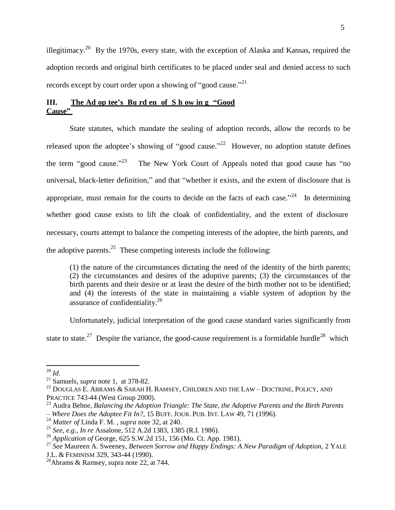illegitimacy.<sup>20</sup> By the 1970s, every state, with the exception of Alaska and Kansas, required the adoption records and original birth certificates to be placed under seal and denied access to such records except by court order upon a showing of "good cause."<sup>21</sup>

# **III. The Ad op tee's Bu rd en of S h ow in g "Good Cause"**

State statutes, which mandate the sealing of adoption records, allow the records to be released upon the adoptee's showing of "good cause."<sup>22</sup> However, no adoption statute defines the term "good cause." $^{23}$ The New York Court of Appeals noted that good cause has "no universal, black-letter definition," and that "whether it exists, and the extent of disclosure that is appropriate, must remain for the courts to decide on the facts of each case.<sup> $24$ </sup> In determining whether good cause exists to lift the cloak of confidentiality, and the extent of disclosure necessary, courts attempt to balance the competing interests of the adoptee, the birth parents, and the adoptive parents.<sup>25</sup> These competing interests include the following:

(1) the nature of the circumstances dictating the need of the identity of the birth parents; (2) the circumstances and desires of the adoptive parents; (3) the circumstances of the birth parents and their desire or at least the desire of the birth mother not to be identified; and (4) the interests of the state in maintaining a viable system of adoption by the assurance of confidentiality.<sup>26</sup>

Unfortunately, judicial interpretation of the good cause standard varies significantly from state to state.<sup>27</sup> Despite the variance, the good-cause requirement is a formidable hurdle<sup>28</sup> which

<sup>20</sup> *Id*.

<sup>21</sup> Samuels, *supra* note 1, at 378-82.

 $^{22}$  DOUGLAS E. ABRAMS & SARAH H. RAMSEY, CHILDREN AND THE LAW – DOCTRINE, POLICY, AND PRACTICE 743-44 (West Group 2000).

<sup>23</sup> Audra Behne, *Balancing the Adoption Triangle: The State, the Adoptive Parents and the Birth Parents – Where Does the Adoptee Fit In?*, 15 BUFF.JOUR. PUB. INT. LAW 49, 71 (1996).

<sup>24</sup> *Matter of* Linda F. M. , *supra* note 32, at 240.

<sup>25</sup> *See*, *e*.*g*., *In re* Assalone, 512 A.2d 1383, 1385 (R.I. 1986).

<sup>26</sup> *Application of* George, 625 S.W.2d 151, 156 (Mo. Ct. App. 1981).

<sup>27</sup> *See* Maureen A. Sweeney, *Between Sorrow and Happy Endings: A New Paradigm of Adoption*, 2 YALE J.L. & FEMINISM 329, 343-44 (1990).

<sup>&</sup>lt;sup>28</sup>Abrams & Ramsey, supra note 22, at 744.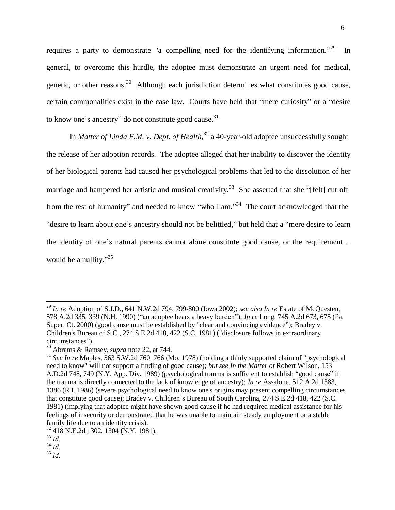requires a party to demonstrate "a compelling need for the identifying information." In general, to overcome this hurdle, the adoptee must demonstrate an urgent need for medical, genetic, or other reasons.<sup>30</sup> Although each jurisdiction determines what constitutes good cause, certain commonalities exist in the case law. Courts have held that "mere curiosity" or a "desire to know one's ancestry" do not constitute good cause.<sup>31</sup>

In *Matter of Linda F.M. v. Dept. of Health*, 32 a 40-year-old adoptee unsuccessfully sought the release of her adoption records. The adoptee alleged that her inability to discover the identity of her biological parents had caused her psychological problems that led to the dissolution of her marriage and hampered her artistic and musical creativity.<sup>33</sup> She asserted that she "[felt] cut off from the rest of humanity" and needed to know "who I am."<sup>34</sup> The court acknowledged that the "desire to learn about one's ancestry should not be belittled," but held that a "mere desire to learn the identity of one's natural parents cannot alone constitute good cause, or the requirement… would be a nullity."<sup>35</sup>

<sup>29</sup> *In re* Adoption of S.J.D., 641 N.W.2d 794, 799-800 (Iowa 2002); *see also In re* Estate of McQuesten, 578 A.2d 335, 339 (N.H. 1990) ("an adoptee bears a heavy burden"); *In re* Long, 745 A.2d 673, 675 (Pa. Super. Ct. 2000) (good cause must be established by "clear and convincing evidence"); Bradey v. Children's Bureau of S.C., 274 S.E.2d 418, 422 (S.C. 1981) ("disclosure follows in extraordinary circumstances").

<sup>30</sup> Abrams & Ramsey, *supra* note 22, at 744.

<sup>31</sup> *See In re* Maples, 563 S.W.2d 760, 766 (Mo. 1978) (holding a thinly supported claim of "psychological need to know" will not support a finding of good cause); *but see In the Matter of* Robert Wilson, 153 A.D.2d 748, 749 (N.Y. App. Div. 1989) (psychological trauma is sufficient to establish "good cause" if the trauma is directly connected to the lack of knowledge of ancestry); *In re* Assalone, 512 A.2d 1383, 1386 (R.I. 1986) (severe psychological need to know one's origins may present compelling circumstances that constitute good cause); Bradey v. Children's Bureau of South Carolina, 274 S.E.2d 418, 422 (S.C. 1981) (implying that adoptee might have shown good cause if he had required medical assistance for his feelings of insecurity or demonstrated that he was unable to maintain steady employment or a stable family life due to an identity crisis).

<sup>32</sup> 418 N.E.2d 1302, 1304 (N.Y. 1981).

<sup>33</sup> *Id.*

<sup>34</sup> *Id.*

<sup>35</sup> *Id.*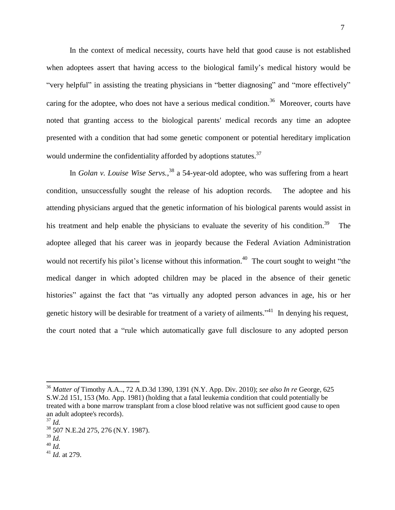In the context of medical necessity, courts have held that good cause is not established when adoptees assert that having access to the biological family's medical history would be "very helpful" in assisting the treating physicians in "better diagnosing" and "more effectively" caring for the adoptee, who does not have a serious medical condition.<sup>36</sup> Moreover, courts have noted that granting access to the biological parents' medical records any time an adoptee presented with a condition that had some genetic component or potential hereditary implication would undermine the confidentiality afforded by adoptions statutes.<sup>37</sup>

In *Golan v. Louise Wise Servs.*, 38 a 54-year-old adoptee, who was suffering from a heart condition, unsuccessfully sought the release of his adoption records. The adoptee and his attending physicians argued that the genetic information of his biological parents would assist in his treatment and help enable the physicians to evaluate the severity of his condition.<sup>39</sup> The adoptee alleged that his career was in jeopardy because the Federal Aviation Administration would not recertify his pilot's license without this information.<sup>40</sup> The court sought to weight "the medical danger in which adopted children may be placed in the absence of their genetic histories" against the fact that "as virtually any adopted person advances in age, his or her genetic history will be desirable for treatment of a variety of ailments." $41$  In denying his request, the court noted that a "rule which automatically gave full disclosure to any adopted person

<sup>36</sup> *Matter of* Timothy A.A.., 72 A.D.3d 1390, 1391 (N.Y. App. Div. 2010); *see also In re* George, 625 S.W.2d 151, 153 (Mo. App. 1981) (holding that a fatal leukemia condition that could potentially be treated with a bone marrow transplant from a close blood relative was not sufficient good cause to open an adult adoptee's records).

<sup>37</sup> *Id.*

<sup>38</sup> 507 N.E.2d 275, 276 (N.Y. 1987).

<sup>39</sup> *Id.*

<sup>40</sup> *Id.*

<sup>41</sup> *Id.* at 279.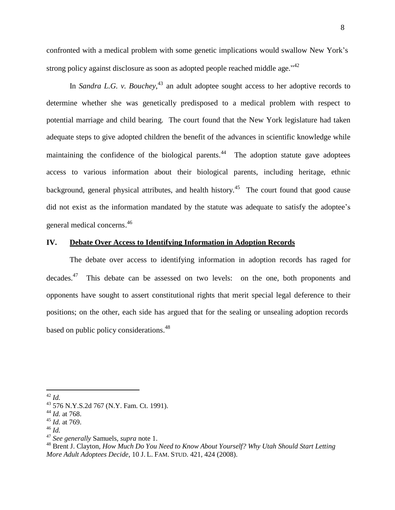confronted with a medical problem with some genetic implications would swallow New York's strong policy against disclosure as soon as adopted people reached middle age."<sup>42</sup>

In *Sandra L.G. v. Bouchey*,<sup>43</sup> an adult adoptee sought access to her adoptive records to determine whether she was genetically predisposed to a medical problem with respect to potential marriage and child bearing. The court found that the New York legislature had taken adequate steps to give adopted children the benefit of the advances in scientific knowledge while maintaining the confidence of the biological parents.<sup>44</sup> The adoption statute gave adoptees access to various information about their biological parents, including heritage, ethnic background, general physical attributes, and health history.<sup>45</sup> The court found that good cause did not exist as the information mandated by the statute was adequate to satisfy the adoptee's general medical concerns.<sup>46</sup>

# **IV. Debate Over Access to Identifying Information in Adoption Records**

The debate over access to identifying information in adoption records has raged for decades.<sup>47</sup> This debate can be assessed on two levels: on the one, both proponents and opponents have sought to assert constitutional rights that merit special legal deference to their positions; on the other, each side has argued that for the sealing or unsealing adoption records based on public policy considerations.<sup>48</sup>

<sup>42</sup> *Id.*

<sup>43</sup> 576 N.Y.S.2d 767 (N.Y. Fam. Ct. 1991).

<sup>44</sup> *Id.* at 768.

<sup>45</sup> *Id.* at 769.

<sup>46</sup> *Id.*

<sup>47</sup> *See generally* Samuels, *supra* note 1.

<sup>48</sup> Brent J. Clayton, *How Much Do You Need to Know About Yourself? Why Utah Should Start Letting More Adult Adoptees Decide*, 10 J. L. FAM. STUD. 421, 424 (2008).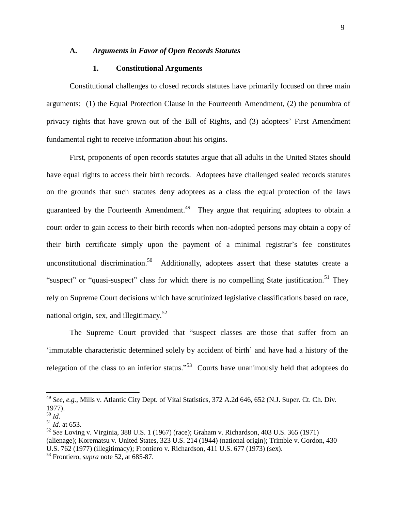## **A.** *Arguments in Favor of Open Records Statutes*

#### **1. Constitutional Arguments**

Constitutional challenges to closed records statutes have primarily focused on three main arguments: (1) the Equal Protection Clause in the Fourteenth Amendment, (2) the penumbra of privacy rights that have grown out of the Bill of Rights, and (3) adoptees' First Amendment fundamental right to receive information about his origins.

First, proponents of open records statutes argue that all adults in the United States should have equal rights to access their birth records. Adoptees have challenged sealed records statutes on the grounds that such statutes deny adoptees as a class the equal protection of the laws guaranteed by the Fourteenth Amendment.<sup>49</sup> They argue that requiring adoptees to obtain a court order to gain access to their birth records when non-adopted persons may obtain a copy of their birth certificate simply upon the payment of a minimal registrar's fee constitutes unconstitutional discrimination.<sup>50</sup> Additionally, adoptees assert that these statutes create a "suspect" or "quasi-suspect" class for which there is no compelling State justification.<sup>51</sup> They rely on Supreme Court decisions which have scrutinized legislative classifications based on race, national origin, sex, and illegitimacy.<sup>52</sup>

The Supreme Court provided that "suspect classes are those that suffer from an 'immutable characteristic determined solely by accident of birth' and have had a history of the relegation of the class to an inferior status."<sup>53</sup> Courts have unanimously held that adoptees do

<sup>49</sup> *See, e.g.,* Mills v. Atlantic City Dept. of Vital Statistics, 372 A.2d 646, 652 (N.J. Super. Ct. Ch. Div. 1977).

<sup>50</sup> *Id.*

 $^{51}$  *Id.* at 653.

<sup>52</sup> *See* Loving v. Virginia, 388 U.S. 1 (1967) (race); Graham v. Richardson, 403 U.S. 365 (1971) (alienage); Korematsu v. United States, 323 U.S. 214 (1944) (national origin); Trimble v. Gordon, 430 U.S. 762 (1977) (illegitimacy); Frontiero v. Richardson, 411 U.S. 677 (1973) (sex).

<sup>53</sup> Frontiero, *supra* note 52, at 685-87.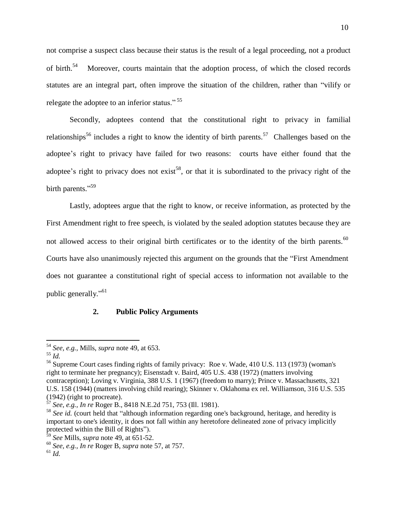not comprise a suspect class because their status is the result of a legal proceeding, not a product of birth.<sup>54</sup> Moreover, courts maintain that the adoption process, of which the closed records statutes are an integral part, often improve the situation of the children, rather than "vilify or relegate the adoptee to an inferior status." <sup>55</sup>

Secondly, adoptees contend that the constitutional right to privacy in familial relationships<sup>56</sup> includes a right to know the identity of birth parents.<sup>57</sup> Challenges based on the adoptee's right to privacy have failed for two reasons: courts have either found that the adoptee's right to privacy does not exist<sup>58</sup>, or that it is subordinated to the privacy right of the birth parents."<sup>59</sup>

Lastly, adoptees argue that the right to know, or receive information, as protected by the First Amendment right to free speech, is violated by the sealed adoption statutes because they are not allowed access to their original birth certificates or to the identity of the birth parents.<sup>60</sup> Courts have also unanimously rejected this argument on the grounds that the "First Amendment does not guarantee a constitutional right of special access to information not available to the public generally."<sup>61</sup>

# **2. Public Policy Arguments**

<sup>54</sup> *See, e.g.,* Mills, *supra* note 49, at 653.

<sup>55</sup> *Id.*

<sup>56</sup> Supreme Court cases finding rights of family privacy: Roe v. Wade, 410 U.S. 113 (1973) (woman's right to terminate her pregnancy); Eisenstadt v. Baird, 405 U.S. 438 (1972) (matters involving contraception); Loving v. Virginia, 388 U.S. 1 (1967) (freedom to marry); Prince v. Massachusetts, 321 U.S. 158 (1944) (matters involving child rearing); Skinner v. Oklahoma ex rel. Williamson, 316 U.S. 535 (1942) (right to procreate).

<sup>57</sup> *See, e.g., In re* Roger B., [8418 N.E.2d 751, 753](http://www.lexis.com/research/xlink?app=00075&view=full&searchtype=get&search=84%2BIll.%2B2d%2B323%2520at%2520327) (Ill. 1981).

<sup>58</sup> *See id.* (court held that "although information regarding one's background, heritage, and heredity is important to one's identity, it does not fall within any heretofore delineated zone of privacy implicitly protected within the Bill of Rights").

<sup>59</sup> *See* Mills, *supra* note 49, at 651-52.

<sup>60</sup> *See, e.g., In re* Roger B, *supra* note 57, at 757.

<sup>61</sup> *Id.*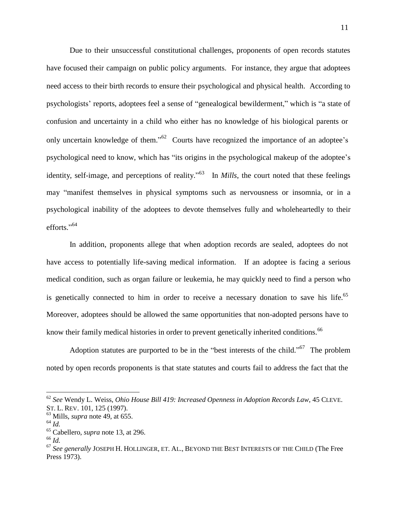Due to their unsuccessful constitutional challenges, proponents of open records statutes have focused their campaign on public policy arguments. For instance, they argue that adoptees need access to their birth records to ensure their psychological and physical health. According to psychologists' reports, adoptees feel a sense of "genealogical bewilderment," which is "a state of confusion and uncertainty in a child who either has no knowledge of his biological parents or only uncertain knowledge of them."<sup>62</sup> Courts have recognized the importance of an adoptee's psychological need to know, which has "its origins in the psychological makeup of the adoptee's identity, self-image, and perceptions of reality.<sup>563</sup> In *Mills*, the court noted that these feelings may "manifest themselves in physical symptoms such as nervousness or insomnia, or in a psychological inability of the adoptees to devote themselves fully and wholeheartedly to their efforts."<sup>64</sup>

In addition, proponents allege that when adoption records are sealed, adoptees do not have access to potentially life-saving medical information. If an adoptee is facing a serious medical condition, such as organ failure or leukemia, he may quickly need to find a person who is genetically connected to him in order to receive a necessary donation to save his life.<sup>65</sup> Moreover, adoptees should be allowed the same opportunities that non-adopted persons have to know their family medical histories in order to prevent genetically inherited conditions.<sup>66</sup>

Adoption statutes are purported to be in the "best interests of the child."<sup>67</sup> The problem noted by open records proponents is that state statutes and courts fail to address the fact that the

<sup>62</sup> *See* Wendy L. Weiss, *Ohio House Bill 419: Increased Openness in Adoption Records Law*, 45 CLEVE. ST. L. REV. 101, 125 (1997).

<sup>63</sup> Mills, *supra* note 49, at 655.

<sup>64</sup> *Id.*

<sup>65</sup> Cabellero, *supra* note 13, at 296.

<sup>66</sup> *Id.*

<sup>67</sup> *See generally* JOSEPH H. HOLLINGER, ET. AL., BEYOND THE BEST INTERESTS OF THE CHILD (The Free Press 1973).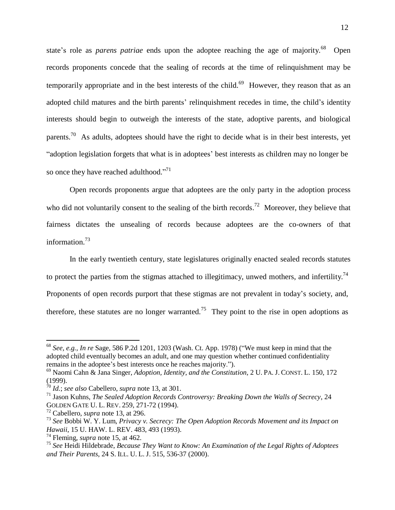state's role as *parens patriae* ends upon the adoptee reaching the age of majority. Open records proponents concede that the sealing of records at the time of relinquishment may be temporarily appropriate and in the best interests of the child.<sup>69</sup> However, they reason that as an adopted child matures and the birth parents' relinquishment recedes in time, the child's identity interests should begin to outweigh the interests of the state, adoptive parents, and biological parents.<sup>70</sup> As adults, adoptees should have the right to decide what is in their best interests, yet "adoption legislation forgets that what is in adoptees' best interests as children may no longer be so once they have reached adulthood."<sup>71</sup>

Open records proponents argue that adoptees are the only party in the adoption process who did not voluntarily consent to the sealing of the birth records.<sup>72</sup> Moreover, they believe that fairness dictates the unsealing of records because adoptees are the co-owners of that information.<sup>73</sup>

In the early twentieth century, state legislatures originally enacted sealed records statutes to protect the parties from the stigmas attached to illegitimacy, unwed mothers, and infertility.<sup>74</sup> Proponents of open records purport that these stigmas are not prevalent in today's society, and, therefore, these statutes are no longer warranted.<sup>75</sup> They point to the rise in open adoptions as

<sup>68</sup> *See, e.g., In re* Sage, 586 P.2d 1201, 1203 (Wash. Ct. App. 1978) ("We must keep in mind that the adopted child eventually becomes an adult, and one may question whether continued confidentiality remains in the adoptee's best interests once he reaches majority.").

<sup>69</sup> Naomi Cahn & Jana Singer, *Adoption, Identity, and the Constitution,* 2 U. PA. J. CONST. L. 150, 172 (1999).

<sup>70</sup> *Id.*; *see also* Cabellero, *supra* note 13, at 301.

<sup>71</sup> Jason Kuhns, *The Sealed Adoption Records Controversy: Breaking Down the Walls of Secrecy*, 24 GOLDEN GATE U. L. REV. 259, 271-72 (1994).

<sup>72</sup> Cabellero, *supra* note 13, at 296.

<sup>73</sup> *See* Bobbi W. Y. Lum, *Privacy v. Secrecy: The Open Adoption Records Movement and its Impact on Hawaii*, 15 U. HAW. L. REV. 483, 493 (1993).

<sup>74</sup> Fleming, *supra* note 15, at 462.

<sup>75</sup> *See* Heidi Hildebrade, *Because They Want to Know: An Examination of the Legal Rights of Adoptees and Their Parents*, 24 S. ILL. U. L. J. 515, 536-37 (2000).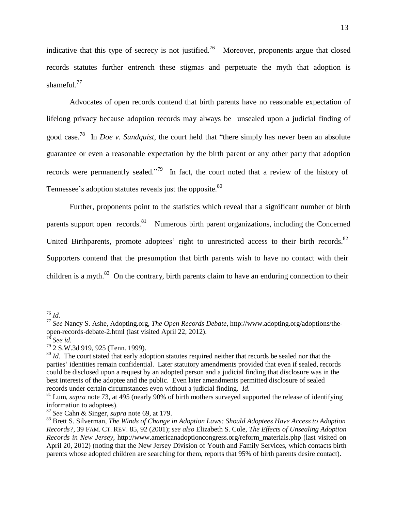indicative that this type of secrecy is not justified.<sup>76</sup> Moreover, proponents argue that closed records statutes further entrench these stigmas and perpetuate the myth that adoption is shameful.<sup>77</sup>

Advocates of open records contend that birth parents have no reasonable expectation of lifelong privacy because adoption records may always be unsealed upon a judicial finding of good case. <sup>78</sup>In *Doe v. Sundquist*, the court held that "there simply has never been an absolute guarantee or even a reasonable expectation by the birth parent or any other party that adoption records were permanently sealed."<sup>79</sup> In fact, the court noted that a review of the history of Tennessee's adoption statutes reveals just the opposite.<sup>80</sup>

Further, proponents point to the statistics which reveal that a significant number of birth parents support open records.<sup>81</sup> Numerous birth parent organizations, including the Concerned United Birthparents, promote adoptees' right to unrestricted access to their birth records.<sup>82</sup> Supporters contend that the presumption that birth parents wish to have no contact with their children is a myth.<sup>83</sup> On the contrary, birth parents claim to have an enduring connection to their

<sup>76</sup> *Id.*

<sup>77</sup> *See* Nancy S. Ashe, Adopting.org, *The Open Records Debate*, [http://www.adopting.org/adoptions/the](http://www.adopting.org/adoptions/the-)open-records-debate-2.html (last visited April 22, 2012).

<sup>78</sup> *See id.*

<sup>79</sup> 2 S.W.3d 919, 925 (Tenn. 1999).

<sup>&</sup>lt;sup>80</sup> *Id.* The court stated that early adoption statutes required neither that records be sealed nor that the parties' identities remain confidential. Later statutory amendments provided that even if sealed, records could be disclosed upon a request by an adopted person and a judicial finding that disclosure was in the best interests of the adoptee and the public. Even later amendments permitted disclosure of sealed records under certain circumstances even without a judicial finding. *Id.*

<sup>&</sup>lt;sup>81</sup> Lum, *supra* note 73, at 495 (nearly 90% of birth mothers surveyed supported the release of identifying information to adoptees).

<sup>82</sup> *See* Cahn & Singer, *supra* note 69, at 179.

<sup>83</sup> Brett S. Silverman, *The Winds of Change in Adoption Laws: Should Adoptees Have Access to Adoption Records?*, 39 FAM. CT. REV. 85, 92 (2001); *see also* Elizabeth S. Cole, *The Effects of Unsealing Adoption Records in New Jersey,* [http://www.americanadoptioncongress.org/reform\\_materials.ph](http://www.americanadoptioncongress.org/reform_materials.php)p (last visited on April 20, 2012) (noting that the New Jersey Division of Youth and Family Services, which contacts birth parents whose adopted children are searching for them, reports that 95% of birth parents desire contact).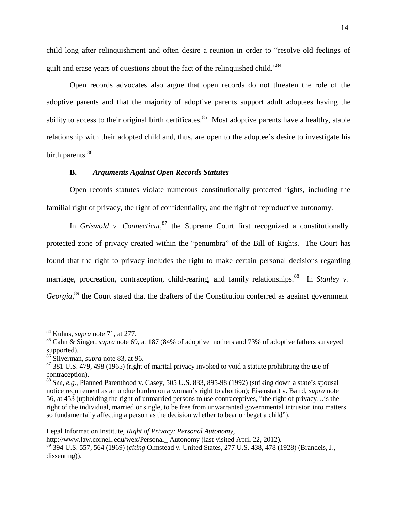child long after relinquishment and often desire a reunion in order to "resolve old feelings of guilt and erase years of questions about the fact of the relinquished child."<sup>84</sup>

Open records advocates also argue that open records do not threaten the role of the adoptive parents and that the majority of adoptive parents support adult adoptees having the ability to access to their original birth certificates.<sup>85</sup> Most adoptive parents have a healthy, stable relationship with their adopted child and, thus, are open to the adoptee's desire to investigate his birth parents.<sup>86</sup>

#### **B.** *Arguments Against Open Records Statutes*

Open records statutes violate numerous constitutionally protected rights, including the familial right of privacy, the right of confidentiality, and the right of reproductive autonomy.

In *Griswold v. Connecticut*,  $87$  the Supreme Court first recognized a constitutionally protected zone of privacy created within the "penumbra" of the Bill of Rights. The Court has found that the right to privacy includes the right to make certain personal decisions regarding marriage, procreation, contraception, child-rearing, and family relationships.<sup>88</sup> In *Stanley v*. Georgia,<sup>89</sup> the Court stated that the drafters of the Constitution conferred as against government

Legal Information Institute, *Right of Privacy: Personal Autonomy*[,](http://www.law.cornell.edu/wex/Personal_)

[http://www.law.cornell.edu/wex/Personal\\_](http://www.law.cornell.edu/wex/Personal_) Autonomy (last visited April 22, 2012).

<sup>84</sup> Kuhns, *supra* note 71, at 277.

<sup>85</sup> Cahn & Singer, *supra* note 69, at 187 (84% of adoptive mothers and 73% of adoptive fathers surveyed supported).

<sup>86</sup> Silverman, *supra* note 83, at 96.

 $87$  381 U.S. 479, 498 (1965) (right of marital privacy invoked to void a statute prohibiting the use of contraception).

<sup>88</sup> *See, e.g.*, Planned Parenthood v. Casey, 505 U.S. 833, 895-98 (1992) (striking down a state's spousal notice requirement as an undue burden on a woman's right to abortion); Eisenstadt v. Baird, *supra* note 56, at 453 (upholding the right of unmarried persons to use contraceptives, "the right of privacy…is the right of the individual, married or single, to be free from unwarranted governmental intrusion into matters so fundamentally affecting a person as the decision whether to bear or beget a child").

<sup>89</sup> 394 U.S. 557, 564 (1969) (*citing* Olmstead v. United States, 277 U.S. 438, 478 (1928) (Brandeis, J., dissenting)).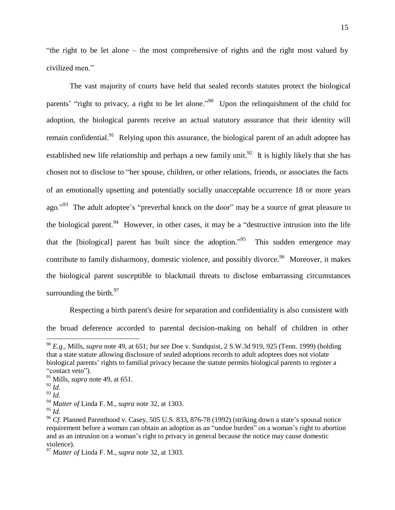"the right to be let alone – the most comprehensive of rights and the right most valued by civilized men."

The vast majority of courts have held that sealed records statutes protect the biological parents' "right to privacy, a right to be let alone."<sup>90</sup> Upon the relinquishment of the child for adoption, the biological parents receive an actual statutory assurance that their identity will remain confidential.<sup>91</sup> Relying upon this assurance, the biological parent of an adult adoptee has established new life relationship and perhaps a new family unit.<sup>92</sup> It is highly likely that she has chosen not to disclose to "her spouse, children, or other relations, friends, or associates the facts of an emotionally upsetting and potentially socially unacceptable occurrence 18 or more years ago."<sup>93</sup> The adult adoptee's "preverbal knock on the door" may be a source of great pleasure to the biological parent.<sup>94</sup> However, in other cases, it may be a "destructive intrusion into the life that the [biological] parent has built since the adoption.<sup>995</sup> This sudden emergence may contribute to family disharmony, domestic violence, and possibly divorce.<sup>96</sup> Moreover, it makes the biological parent susceptible to blackmail threats to disclose embarrassing circumstances surrounding the birth. $97$ 

Respecting a birth parent's desire for separation and confidentiality is also consistent with

the broad deference accorded to parental decision-making on behalf of children in other

<sup>94</sup> *Matter of* Linda F. M., *supra* note 32, at 1303.

<sup>90</sup> *E.g.,* Mills, *supra* note 49, at 651; *but see* Doe v. Sundquist, 2 S.W.3d 919, 925 (Tenn. 1999) (holding that a state statute allowing disclosure of sealed adoptions records to adult adoptees does not violate biological parents' rights to familial privacy because the statute permits biological parents to register a "contact veto").

<sup>91</sup> Mills, *supra* note 49, at 651.

 $^{92}$  *Id.* 

<sup>93</sup> *Id.*

<sup>95</sup> *Id.*

<sup>&</sup>lt;sup>96</sup> *Cf.* Planned Parenthood v. Casey, 505 U.S. 833, 876-78 (1992) (striking down a state's spousal notice requirement before a woman can obtain an adoption as an "undue burden" on a woman's right to abortion and as an intrusion on a woman's right to privacy in general because the notice may cause domestic violence).

<sup>97</sup> *Matter of* Linda F. M., *supra* note 32, at 1303.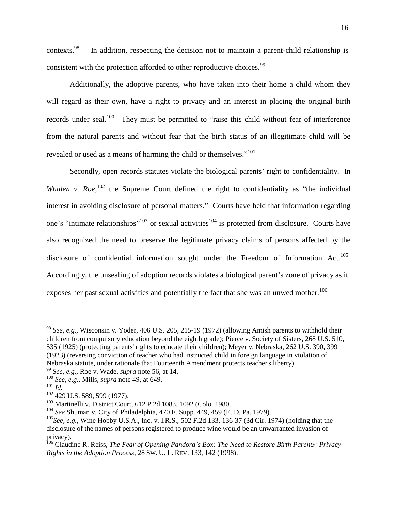contexts. 98 In addition, respecting the decision not to maintain a parent-child relationship is consistent with the protection afforded to other reproductive choices.<sup>99</sup>

Additionally, the adoptive parents, who have taken into their home a child whom they will regard as their own, have a right to privacy and an interest in placing the original birth records under seal.<sup>100</sup> They must be permitted to "raise this child without fear of interference from the natural parents and without fear that the birth status of an illegitimate child will be revealed or used as a means of harming the child or themselves."<sup>101</sup>

Secondly, open records statutes violate the biological parents' right to confidentiality. In *Whalen v.*  $Roe$ <sup>102</sup>, the Supreme Court defined the right to confidentiality as "the individual interest in avoiding disclosure of personal matters." Courts have held that information regarding one's "intimate relationships"<sup>103</sup> or sexual activities<sup>104</sup> is protected from disclosure. Courts have also recognized the need to preserve the legitimate privacy claims of persons affected by the disclosure of confidential information sought under the Freedom of Information Act.<sup>105</sup> Accordingly, the unsealing of adoption records violates a biological parent's zone of privacy as it exposes her past sexual activities and potentially the fact that she was an unwed mother.<sup>106</sup>

- <sup>99</sup> *See, e.g.,* Roe v. Wade, *supra* note 56, at 14.
- <sup>100</sup> *See, e.g.,* Mills, *supra* note 49, at 649.

<sup>98</sup> *See, e.g.,* Wisconsin v. Yoder, 406 U.S. 205, 215-19 (1972) (allowing Amish parents to withhold their children from compulsory education beyond the eighth grade); Pierce v. Society of Sisters, 268 U.S. 510, 535 (1925) (protecting parents' rights to educate their children); Meyer v. Nebraska, 262 U.S. 390, 399 (1923) (reversing conviction of teacher who had instructed child in foreign language in violation of Nebraska statute, under rationale that Fourteenth Amendment protects teacher's liberty).

 $^{101}$   $\mathrm{I}$ *d*.

<sup>&</sup>lt;sup>102</sup> 429 U.S. 589, 599 (1977).

<sup>103</sup> Martinelli v. District Court, 612 P.2d 1083, 1092 (Colo. 1980.

<sup>104</sup> *See* Shuman v. City of Philadelphia, 470 F. Supp. 449, 459 (E. D. Pa. 1979).

<sup>105</sup>*See*, *e.g.*, Wine Hobby U.S.A., Inc. v. I.R.S., 502 F.2d 133, 136-37 (3d Cir. 1974) (holding that the disclosure of the names of persons registered to produce wine would be an unwarranted invasion of privacy).

<sup>106</sup> Claudine R. Reiss, *The Fear of Opening Pandora's Box: The Need to Restore Birth Parents' Privacy Rights in the Adoption Process*, 28 SW. U. L. REV. 133, 142 (1998).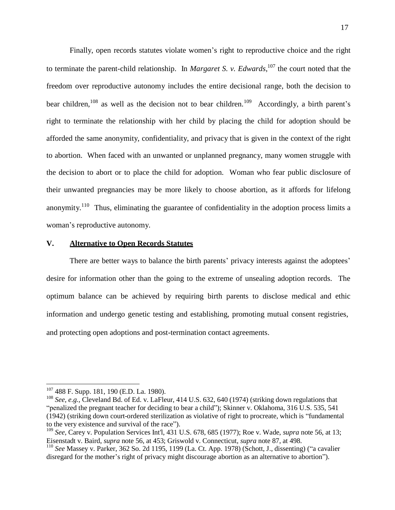Finally, open records statutes violate women's right to reproductive choice and the right to terminate the parent-child relationship. In *Margaret S. v. Edwards*, 107 the court noted that the freedom over reproductive autonomy includes the entire decisional range, both the decision to bear children,  $108$  as well as the decision not to bear children.  $109$  Accordingly, a birth parent's right to terminate the relationship with her child by placing the child for adoption should be afforded the same anonymity, confidentiality, and privacy that is given in the context of the right to abortion. When faced with an unwanted or unplanned pregnancy, many women struggle with the decision to abort or to place the child for adoption. Woman who fear public disclosure of their unwanted pregnancies may be more likely to choose abortion, as it affords for lifelong anonymity.<sup>110</sup> Thus, eliminating the guarantee of confidentiality in the adoption process limits a woman's reproductive autonomy.

#### **V. Alternative to Open Records Statutes**

There are better ways to balance the birth parents' privacy interests against the adoptees' desire for information other than the going to the extreme of unsealing adoption records. The optimum balance can be achieved by requiring birth parents to disclose medical and ethic information and undergo genetic testing and establishing, promoting mutual consent registries, and protecting open adoptions and post-termination contact agreements.

<sup>107</sup> 488 F. Supp. 181, 190 (E.D. La. 1980).

<sup>108</sup> *See, e.g.,* Cleveland Bd. of Ed. v. LaFleur, 414 U.S. 632, 640 (1974) (striking down regulations that "penalized the pregnant teacher for deciding to bear a child"); Skinner v. Oklahoma, 316 U.S. 535, 541 (1942) (striking down court-ordered sterilization as violative of right to procreate, which is "fundamental to the very existence and survival of the race").

<sup>109</sup> *See,* Carey v. Population Services Int'l, 431 U.S. 678, 685 (1977); Roe v. Wade, *supra* note 56, at 13; Eisenstadt v. Baird, *supra* note 56, at 453; Griswold v. Connecticut, *supra* note 87, at 498.

<sup>110</sup> *See* Massey v. Parker, 362 So. 2d 1195, 1199 (La. Ct. App. 1978) (Schott, J., dissenting) ("a cavalier disregard for the mother's right of privacy might discourage abortion as an alternative to abortion").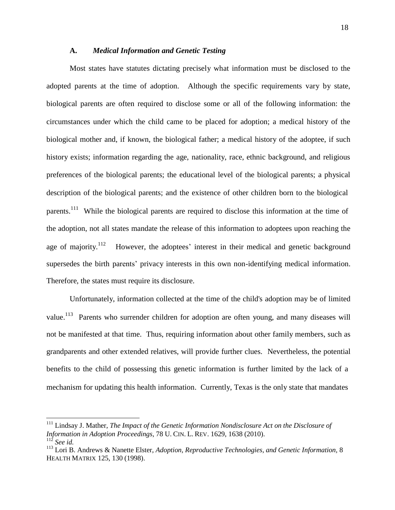#### **A.** *Medical Information and Genetic Testing*

Most states have statutes dictating precisely what information must be disclosed to the adopted parents at the time of adoption. Although the specific requirements vary by state, biological parents are often required to disclose some or all of the following information: the circumstances under which the child came to be placed for adoption; a medical history of the biological mother and, if known, the biological father; a medical history of the adoptee, if such history exists; information regarding the age, nationality, race, ethnic background, and religious preferences of the biological parents; the educational level of the biological parents; a physical description of the biological parents; and the existence of other children born to the biological parents.<sup>111</sup> While the biological parents are required to disclose this information at the time of the adoption, not all states mandate the release of this information to adoptees upon reaching the age of majority. $112$ However, the adoptees' interest in their medical and genetic background supersedes the birth parents' privacy interests in this own non-identifying medical information. Therefore, the states must require its disclosure.

Unfortunately, information collected at the time of the child's adoption may be of limited value.<sup>113</sup> Parents who surrender children for adoption are often young, and many diseases will not be manifested at that time. Thus, requiring information about other family members, such as grandparents and other extended relatives, will provide further clues. Nevertheless, the potential benefits to the child of possessing this genetic information is further limited by the lack of a mechanism for updating this health information. Currently, Texas is the only state that mandates

<sup>111</sup> Lindsay J. Mather, *The Impact of the Genetic Information Nondisclosure Act on the Disclosure of Information in Adoption Proceedings*, 78 U. CIN. L. REV. 1629, 1638 (2010). <sup>112</sup> *See id.*

<sup>113</sup> Lori B. Andrews & Nanette Elster, *Adoption, Reproductive Technologies, and Genetic Information,* 8 HEALTH MATRIX 125, 130 (1998).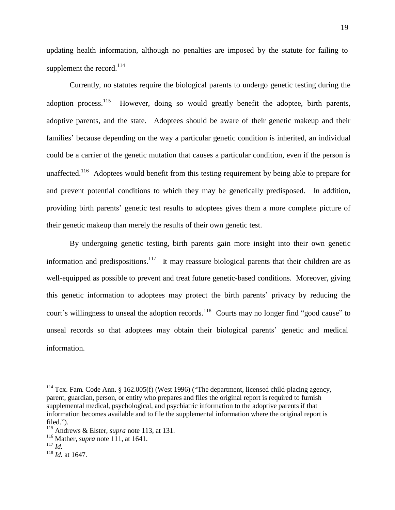updating health information, although no penalties are imposed by the statute for failing to supplement the record.<sup>114</sup>

Currently, no statutes require the biological parents to undergo genetic testing during the adoption process.<sup>115</sup> However, doing so would greatly benefit the adoptee, birth parents, adoptive parents, and the state. Adoptees should be aware of their genetic makeup and their families' because depending on the way a particular genetic condition is inherited, an individual could be a carrier of the genetic mutation that causes a particular condition, even if the person is unaffected.<sup>116</sup> Adoptees would benefit from this testing requirement by being able to prepare for and prevent potential conditions to which they may be genetically predisposed. In addition, providing birth parents' genetic test results to adoptees gives them a more complete picture of their genetic makeup than merely the results of their own genetic test.

By undergoing genetic testing, birth parents gain more insight into their own genetic information and predispositions.<sup>117</sup> It may reassure biological parents that their children are as well-equipped as possible to prevent and treat future genetic-based conditions. Moreover, giving this genetic information to adoptees may protect the birth parents' privacy by reducing the court's willingness to unseal the adoption records.<sup>118</sup> Courts may no longer find "good cause" to unseal records so that adoptees may obtain their biological parents' genetic and medical information.

<sup>&</sup>lt;sup>114</sup> Tex. Fam. Code Ann. § 162.005(f) (West 1996) ("The department, licensed child-placing agency, parent, guardian, person, or entity who prepares and files the original report is required to furnish supplemental medical, psychological, and psychiatric information to the adoptive parents if that information becomes available and to file the supplemental information where the original report is filed.").

<sup>115</sup> Andrews & Elster, *supra* note 113, at 131.

<sup>116</sup> Mather, *supra* note 111, at 1641.

<sup>117</sup> *Id.*

<sup>118</sup> *Id.* at 1647.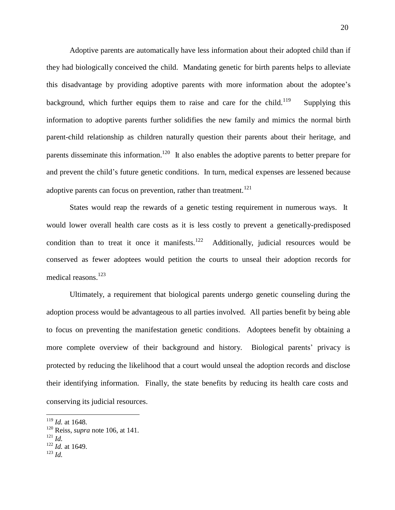Adoptive parents are automatically have less information about their adopted child than if they had biologically conceived the child. Mandating genetic for birth parents helps to alleviate this disadvantage by providing adoptive parents with more information about the adoptee's background, which further equips them to raise and care for the child.<sup>119</sup> Supplying this information to adoptive parents further solidifies the new family and mimics the normal birth parent-child relationship as children naturally question their parents about their heritage, and parents disseminate this information.<sup>120</sup>It also enables the adoptive parents to better prepare for and prevent the child's future genetic conditions. In turn, medical expenses are lessened because adoptive parents can focus on prevention, rather than treatment.<sup>121</sup>

States would reap the rewards of a genetic testing requirement in numerous ways. It would lower overall health care costs as it is less costly to prevent a genetically-predisposed condition than to treat it once it manifests.  $122$ Additionally, judicial resources would be conserved as fewer adoptees would petition the courts to unseal their adoption records for medical reasons. 123

Ultimately, a requirement that biological parents undergo genetic counseling during the adoption process would be advantageous to all parties involved. All parties benefit by being able to focus on preventing the manifestation genetic conditions. Adoptees benefit by obtaining a more complete overview of their background and history. Biological parents' privacy is protected by reducing the likelihood that a court would unseal the adoption records and disclose their identifying information. Finally, the state benefits by reducing its health care costs and conserving its judicial resources.

<sup>119</sup> *Id.* at 1648.

<sup>120</sup> Reiss, *supra* note 106, at 141.

<sup>121</sup> *Id.*

<sup>122</sup> *Id.* at 1649.

<sup>123</sup> *Id.*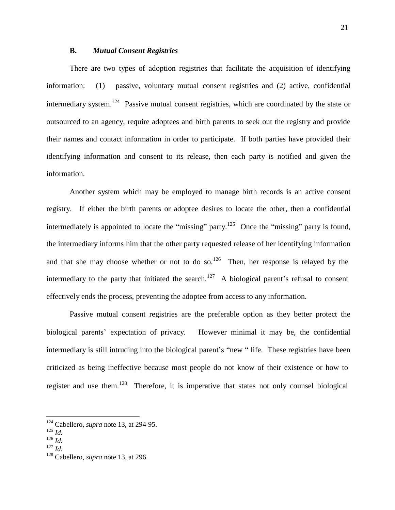#### **B.** *Mutual Consent Registries*

There are two types of adoption registries that facilitate the acquisition of identifying information: (1) passive, voluntary mutual consent registries and (2) active, confidential intermediary system.<sup>124</sup> Passive mutual consent registries, which are coordinated by the state or outsourced to an agency, require adoptees and birth parents to seek out the registry and provide their names and contact information in order to participate. If both parties have provided their identifying information and consent to its release, then each party is notified and given the information.

Another system which may be employed to manage birth records is an active consent registry. If either the birth parents or adoptee desires to locate the other, then a confidential intermediately is appointed to locate the "missing" party.<sup>125</sup> Once the "missing" party is found, the intermediary informs him that the other party requested release of her identifying information and that she may choose whether or not to do so.<sup>126</sup> Then, her response is relayed by the intermediary to the party that initiated the search.<sup>127</sup> A biological parent's refusal to consent effectively ends the process, preventing the adoptee from access to any information.

Passive mutual consent registries are the preferable option as they better protect the biological parents' expectation of privacy. However minimal it may be, the confidential intermediary is still intruding into the biological parent's "new " life. These registries have been criticized as being ineffective because most people do not know of their existence or how to register and use them.<sup>128</sup> Therefore, it is imperative that states not only counsel biological

<sup>124</sup> Cabellero, *supra* note 13, at 294-95.

<sup>125</sup> *Id.*

<sup>126</sup> *Id.*

<sup>127</sup> *Id.*

<sup>128</sup> Cabellero, *supra* note 13, at 296.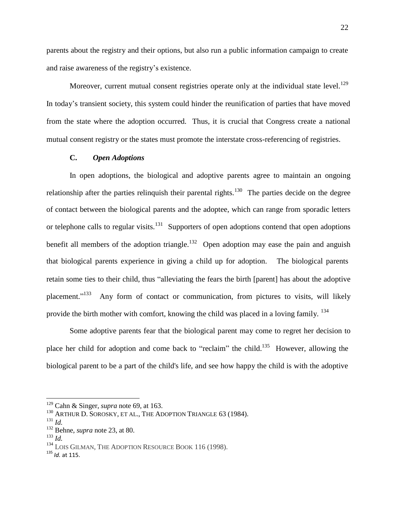parents about the registry and their options, but also run a public information campaign to create and raise awareness of the registry's existence.

Moreover, current mutual consent registries operate only at the individual state level.<sup>129</sup> In today's transient society, this system could hinder the reunification of parties that have moved from the state where the adoption occurred. Thus, it is crucial that Congress create a national mutual consent registry or the states must promote the interstate cross-referencing of registries.

## **C.** *Open Adoptions*

In open adoptions, the biological and adoptive parents agree to maintain an ongoing relationship after the parties relinquish their parental rights.<sup>130</sup> The parties decide on the degree of contact between the biological parents and the adoptee, which can range from sporadic letters or telephone calls to regular visits.<sup>131</sup> Supporters of open adoptions contend that open adoptions benefit all members of the adoption triangle.<sup>132</sup> Open adoption may ease the pain and anguish that biological parents experience in giving a child up for adoption. The biological parents retain some ties to their child, thus "alleviating the fears the birth [parent] has about the adoptive placement."<sup>133</sup> Any form of contact or communication, from pictures to visits, will likely provide the birth mother with comfort, knowing the child was placed in a loving family. <sup>134</sup>

Some adoptive parents fear that the biological parent may come to regret her decision to place her child for adoption and come back to "reclaim" the child.<sup>135</sup> However, allowing the biological parent to be a part of the child's life, and see how happy the child is with the adoptive

<sup>129</sup> Cahn & Singer, *supra* note 69, at 163.

<sup>&</sup>lt;sup>130</sup> ARTHUR D. SOROSKY, ET AL., THE ADOPTION TRIANGLE 63 (1984).

<sup>131</sup> *Id.*

<sup>132</sup> Behne, *supra* note 23, at 80.

<sup>133</sup> *Id.*

<sup>&</sup>lt;sup>134</sup> LOIS GILMAN, THE ADOPTION RESOURCE BOOK 116 (1998).

<sup>135</sup> *Id.* at 115.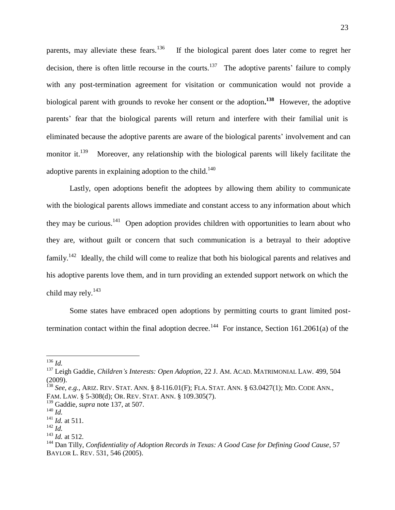parents, may alleviate these fears.<sup>136</sup> If the biological parent does later come to regret her decision, there is often little recourse in the courts.<sup>137</sup> The adoptive parents' failure to comply with any post-termination agreement for visitation or communication would not provide a biological parent with grounds to revoke her consent or the adoption.<sup>138</sup> However, the adoptive parents' fear that the biological parents will return and interfere with their familial unit is eliminated because the adoptive parents are aware of the biological parents' involvement and can monitor it. $^{139}$ Moreover, any relationship with the biological parents will likely facilitate the adoptive parents in explaining adoption to the child.<sup>140</sup>

Lastly, open adoptions benefit the adoptees by allowing them ability to communicate with the biological parents allows immediate and constant access to any information about which they may be curious.<sup>141</sup> Open adoption provides children with opportunities to learn about who they are, without guilt or concern that such communication is a betrayal to their adoptive family.<sup>142</sup> Ideally, the child will come to realize that both his biological parents and relatives and his adoptive parents love them, and in turn providing an extended support network on which the child may rely.<sup>143</sup>

Some states have embraced open adoptions by permitting courts to grant limited posttermination contact within the final adoption decree.<sup>144</sup> For instance, Section 161.2061(a) of the

<sup>136</sup> *Id.*

<sup>137</sup> Leigh Gaddie, *Children's Interests: Open Adoption*, 22 J. AM. ACAD. MATRIMONIAL LAW. 499, 504 (2009).

<sup>138</sup> *See, e.g.,* ARIZ. REV. STAT. ANN. § 8-116.01(F); FLA. STAT. ANN. § 63.0427(1); MD. CODE ANN., FAM. LAW. § 5-308(d); OR. REV. STAT. ANN. § 109.305(7).

<sup>139</sup> Gaddie, *supra* note 137, at 507.

<sup>140</sup> *Id.*

<sup>141</sup> *Id.* at 511.

<sup>142</sup> *Id.*

<sup>143</sup> *Id.* at 512.

<sup>144</sup> Dan Tilly, *Confidentiality of Adoption Records in Texas: A Good Case for Defining Good Cause*, 57 BAYLOR L. REV. 531, 546 (2005).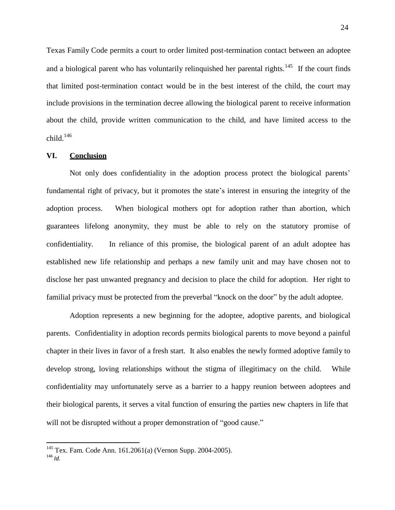Texas Family Code permits a court to order limited post-termination contact between an adoptee and a biological parent who has voluntarily relinquished her parental rights.<sup>145</sup> If the court finds that limited post-termination contact would be in the best interest of the child, the court may include provisions in the termination decree allowing the biological parent to receive information about the child, provide written communication to the child, and have limited access to the child. $146$ 

### **VI. Conclusion**

Not only does confidentiality in the adoption process protect the biological parents' fundamental right of privacy, but it promotes the state's interest in ensuring the integrity of the adoption process. When biological mothers opt for adoption rather than abortion, which guarantees lifelong anonymity, they must be able to rely on the statutory promise of confidentiality. In reliance of this promise, the biological parent of an adult adoptee has established new life relationship and perhaps a new family unit and may have chosen not to disclose her past unwanted pregnancy and decision to place the child for adoption. Her right to familial privacy must be protected from the preverbal "knock on the door" by the adult adoptee.

Adoption represents a new beginning for the adoptee, adoptive parents, and biological parents. Confidentiality in adoption records permits biological parents to move beyond a painful chapter in their lives in favor of a fresh start. It also enables the newly formed adoptive family to develop strong, loving relationships without the stigma of illegitimacy on the child. While confidentiality may unfortunately serve as a barrier to a happy reunion between adoptees and their biological parents, it serves a vital function of ensuring the parties new chapters in life that will not be disrupted without a proper demonstration of "good cause."

<sup>145</sup> Tex. Fam. Code Ann. 161.2061(a) (Vernon Supp. 2004-2005).

<sup>146</sup> *Id.*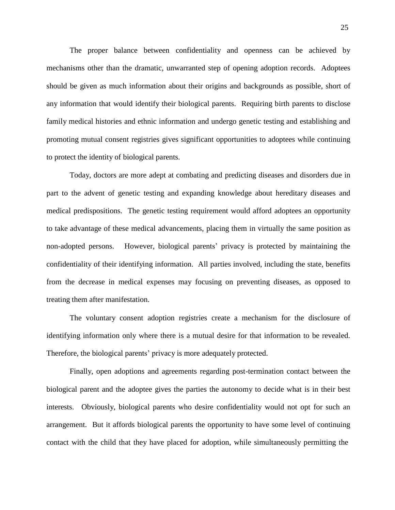The proper balance between confidentiality and openness can be achieved by mechanisms other than the dramatic, unwarranted step of opening adoption records. Adoptees should be given as much information about their origins and backgrounds as possible, short of any information that would identify their biological parents. Requiring birth parents to disclose family medical histories and ethnic information and undergo genetic testing and establishing and promoting mutual consent registries gives significant opportunities to adoptees while continuing to protect the identity of biological parents.

Today, doctors are more adept at combating and predicting diseases and disorders due in part to the advent of genetic testing and expanding knowledge about hereditary diseases and medical predispositions. The genetic testing requirement would afford adoptees an opportunity to take advantage of these medical advancements, placing them in virtually the same position as non-adopted persons. However, biological parents' privacy is protected by maintaining the confidentiality of their identifying information. All parties involved, including the state, benefits from the decrease in medical expenses may focusing on preventing diseases, as opposed to treating them after manifestation.

The voluntary consent adoption registries create a mechanism for the disclosure of identifying information only where there is a mutual desire for that information to be revealed. Therefore, the biological parents' privacy is more adequately protected.

Finally, open adoptions and agreements regarding post-termination contact between the biological parent and the adoptee gives the parties the autonomy to decide what is in their best interests. Obviously, biological parents who desire confidentiality would not opt for such an arrangement. But it affords biological parents the opportunity to have some level of continuing contact with the child that they have placed for adoption, while simultaneously permitting the